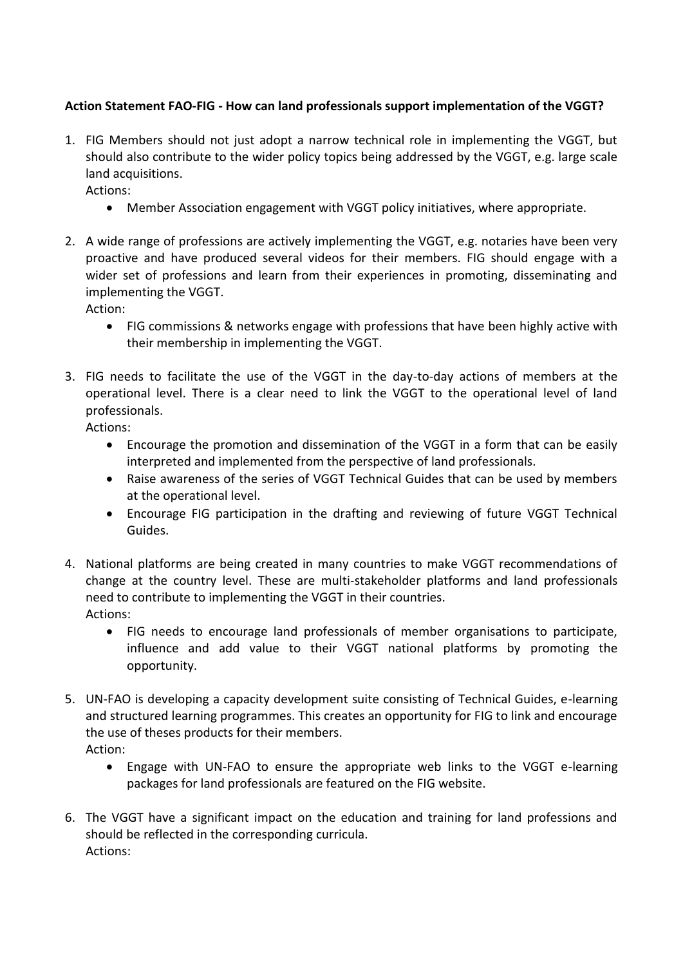## **Action Statement FAO-FIG - How can land professionals support implementation of the VGGT?**

1. FIG Members should not just adopt a narrow technical role in implementing the VGGT, but should also contribute to the wider policy topics being addressed by the VGGT, e.g. large scale land acquisitions.

Actions:

- Member Association engagement with VGGT policy initiatives, where appropriate.
- 2. A wide range of professions are actively implementing the VGGT, e.g. notaries have been very proactive and have produced several videos for their members. FIG should engage with a wider set of professions and learn from their experiences in promoting, disseminating and implementing the VGGT.

Action:

- FIG commissions & networks engage with professions that have been highly active with their membership in implementing the VGGT.
- 3. FIG needs to facilitate the use of the VGGT in the day-to-day actions of members at the operational level. There is a clear need to link the VGGT to the operational level of land professionals.

Actions:

- Encourage the promotion and dissemination of the VGGT in a form that can be easily interpreted and implemented from the perspective of land professionals.
- Raise awareness of the series of VGGT Technical Guides that can be used by members at the operational level.
- Encourage FIG participation in the drafting and reviewing of future VGGT Technical Guides.
- 4. National platforms are being created in many countries to make VGGT recommendations of change at the country level. These are multi-stakeholder platforms and land professionals need to contribute to implementing the VGGT in their countries. Actions:
	- FIG needs to encourage land professionals of member organisations to participate, influence and add value to their VGGT national platforms by promoting the opportunity.
- 5. UN-FAO is developing a capacity development suite consisting of Technical Guides, e-learning and structured learning programmes. This creates an opportunity for FIG to link and encourage the use of theses products for their members. Action:
	- Engage with UN-FAO to ensure the appropriate web links to the VGGT e-learning packages for land professionals are featured on the FIG website.
- 6. The VGGT have a significant impact on the education and training for land professions and should be reflected in the corresponding curricula. Actions: